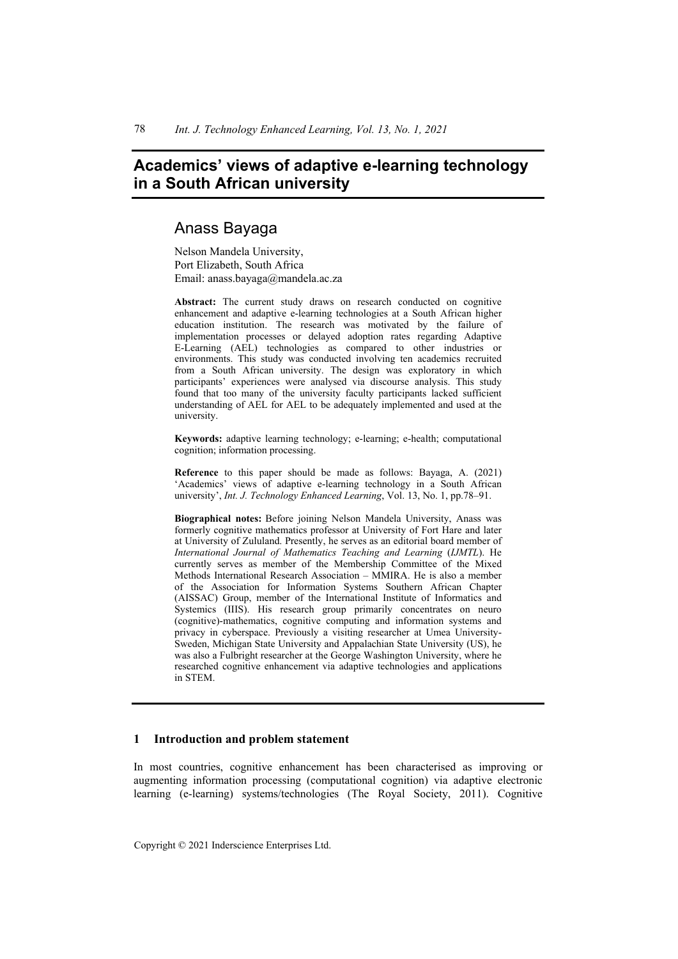# **Academics' views of adaptive e-learning technology in a South African university**

## Anass Bayaga

Nelson Mandela University, Port Elizabeth, South Africa Email: anass.bayaga@mandela.ac.za

**Abstract:** The current study draws on research conducted on cognitive enhancement and adaptive e-learning technologies at a South African higher education institution. The research was motivated by the failure of implementation processes or delayed adoption rates regarding Adaptive E-Learning (AEL) technologies as compared to other industries or environments. This study was conducted involving ten academics recruited from a South African university. The design was exploratory in which participants' experiences were analysed via discourse analysis. This study found that too many of the university faculty participants lacked sufficient understanding of AEL for AEL to be adequately implemented and used at the university.

**Keywords:** adaptive learning technology; e-learning; e-health; computational cognition; information processing.

**Reference** to this paper should be made as follows: Bayaga, A. (2021) 'Academics' views of adaptive e-learning technology in a South African university', *Int. J. Technology Enhanced Learning*, Vol. 13, No. 1, pp.78–91.

**Biographical notes:** Before joining Nelson Mandela University, Anass was formerly cognitive mathematics professor at University of Fort Hare and later at University of Zululand. Presently, he serves as an editorial board member of *International Journal of Mathematics Teaching and Learning* (*IJMTL*). He currently serves as member of the Membership Committee of the Mixed Methods International Research Association – MMIRA. He is also a member of the Association for Information Systems Southern African Chapter (AISSAC) Group, member of the International Institute of Informatics and Systemics (IIIS). His research group primarily concentrates on neuro (cognitive)-mathematics, cognitive computing and information systems and privacy in cyberspace. Previously a visiting researcher at Umea University-Sweden, Michigan State University and Appalachian State University (US), he was also a Fulbright researcher at the George Washington University, where he researched cognitive enhancement via adaptive technologies and applications in STEM.

## **1 Introduction and problem statement**

In most countries, cognitive enhancement has been characterised as improving or augmenting information processing (computational cognition) via adaptive electronic learning (e-learning) systems/technologies (The Royal Society, 2011). Cognitive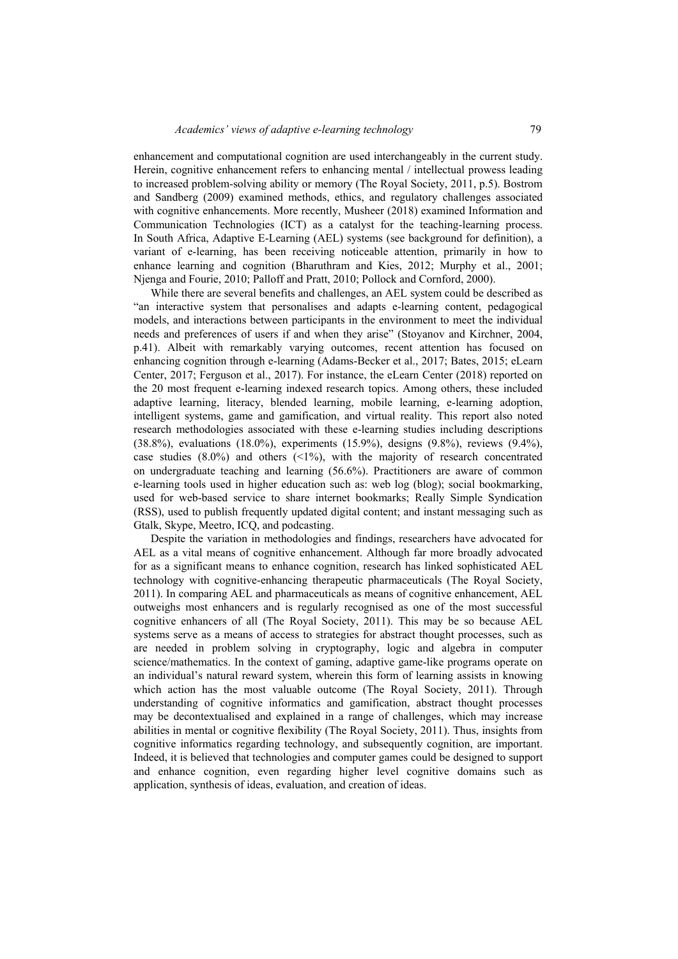enhancement and computational cognition are used interchangeably in the current study. Herein, cognitive enhancement refers to enhancing mental / intellectual prowess leading to increased problem-solving ability or memory (The Royal Society, 2011, p.5). Bostrom and Sandberg (2009) examined methods, ethics, and regulatory challenges associated with cognitive enhancements. More recently, Musheer (2018) examined Information and Communication Technologies (ICT) as a catalyst for the teaching-learning process. In South Africa, Adaptive E-Learning (AEL) systems (see background for definition), a variant of e-learning, has been receiving noticeable attention, primarily in how to enhance learning and cognition (Bharuthram and Kies, 2012; Murphy et al., 2001; Njenga and Fourie, 2010; Palloff and Pratt, 2010; Pollock and Cornford, 2000).

While there are several benefits and challenges, an AEL system could be described as "an interactive system that personalises and adapts e-learning content, pedagogical models, and interactions between participants in the environment to meet the individual needs and preferences of users if and when they arise" (Stoyanov and Kirchner, 2004, p.41). Albeit with remarkably varying outcomes, recent attention has focused on enhancing cognition through e-learning (Adams-Becker et al., 2017; Bates, 2015; eLearn Center, 2017; Ferguson et al., 2017). For instance, the eLearn Center (2018) reported on the 20 most frequent e-learning indexed research topics. Among others, these included adaptive learning, literacy, blended learning, mobile learning, e-learning adoption, intelligent systems, game and gamification, and virtual reality. This report also noted research methodologies associated with these e-learning studies including descriptions (38.8%), evaluations (18.0%), experiments (15.9%), designs (9.8%), reviews (9.4%), case studies  $(8.0\%)$  and others  $(\leq 1\%)$ , with the majority of research concentrated on undergraduate teaching and learning (56.6%). Practitioners are aware of common e-learning tools used in higher education such as: web log (blog); social bookmarking, used for web-based service to share internet bookmarks; Really Simple Syndication (RSS), used to publish frequently updated digital content; and instant messaging such as Gtalk, Skype, Meetro, ICQ, and podcasting.

Despite the variation in methodologies and findings, researchers have advocated for AEL as a vital means of cognitive enhancement. Although far more broadly advocated for as a significant means to enhance cognition, research has linked sophisticated AEL technology with cognitive-enhancing therapeutic pharmaceuticals (The Royal Society, 2011). In comparing AEL and pharmaceuticals as means of cognitive enhancement, AEL outweighs most enhancers and is regularly recognised as one of the most successful cognitive enhancers of all (The Royal Society, 2011). This may be so because AEL systems serve as a means of access to strategies for abstract thought processes, such as are needed in problem solving in cryptography, logic and algebra in computer science/mathematics. In the context of gaming, adaptive game-like programs operate on an individual's natural reward system, wherein this form of learning assists in knowing which action has the most valuable outcome (The Royal Society, 2011). Through understanding of cognitive informatics and gamification, abstract thought processes may be decontextualised and explained in a range of challenges, which may increase abilities in mental or cognitive flexibility (The Royal Society, 2011). Thus, insights from cognitive informatics regarding technology, and subsequently cognition, are important. Indeed, it is believed that technologies and computer games could be designed to support and enhance cognition, even regarding higher level cognitive domains such as application, synthesis of ideas, evaluation, and creation of ideas.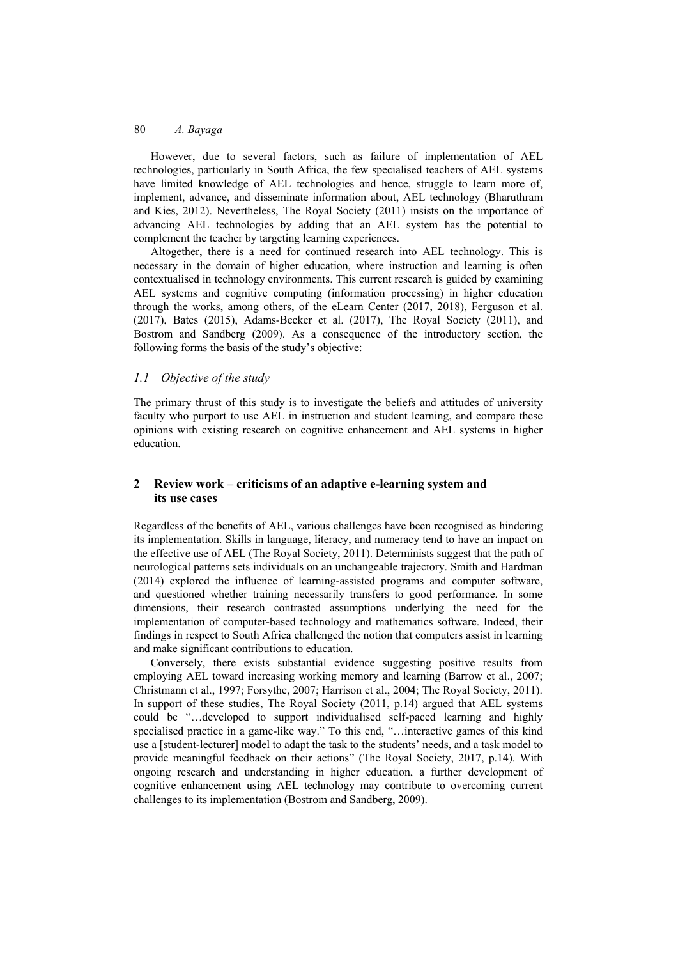However, due to several factors, such as failure of implementation of AEL technologies, particularly in South Africa, the few specialised teachers of AEL systems have limited knowledge of AEL technologies and hence, struggle to learn more of, implement, advance, and disseminate information about, AEL technology (Bharuthram and Kies, 2012). Nevertheless, The Royal Society (2011) insists on the importance of advancing AEL technologies by adding that an AEL system has the potential to complement the teacher by targeting learning experiences.

Altogether, there is a need for continued research into AEL technology. This is necessary in the domain of higher education, where instruction and learning is often contextualised in technology environments. This current research is guided by examining AEL systems and cognitive computing (information processing) in higher education through the works, among others, of the eLearn Center (2017, 2018), Ferguson et al. (2017), Bates (2015), Adams-Becker et al. (2017), The Royal Society (2011), and Bostrom and Sandberg (2009). As a consequence of the introductory section, the following forms the basis of the study's objective:

## *1.1 Objective of the study*

The primary thrust of this study is to investigate the beliefs and attitudes of university faculty who purport to use AEL in instruction and student learning, and compare these opinions with existing research on cognitive enhancement and AEL systems in higher education.

## **2 Review work – criticisms of an adaptive e-learning system and its use cases**

Regardless of the benefits of AEL, various challenges have been recognised as hindering its implementation. Skills in language, literacy, and numeracy tend to have an impact on the effective use of AEL (The Royal Society, 2011). Determinists suggest that the path of neurological patterns sets individuals on an unchangeable trajectory. Smith and Hardman (2014) explored the influence of learning-assisted programs and computer software, and questioned whether training necessarily transfers to good performance. In some dimensions, their research contrasted assumptions underlying the need for the implementation of computer-based technology and mathematics software. Indeed, their findings in respect to South Africa challenged the notion that computers assist in learning and make significant contributions to education.

Conversely, there exists substantial evidence suggesting positive results from employing AEL toward increasing working memory and learning (Barrow et al., 2007; Christmann et al., 1997; Forsythe, 2007; Harrison et al., 2004; The Royal Society, 2011). In support of these studies, The Royal Society (2011, p.14) argued that AEL systems could be "…developed to support individualised self-paced learning and highly specialised practice in a game-like way." To this end, "…interactive games of this kind use a [student-lecturer] model to adapt the task to the students' needs, and a task model to provide meaningful feedback on their actions" (The Royal Society, 2017, p.14). With ongoing research and understanding in higher education, a further development of cognitive enhancement using AEL technology may contribute to overcoming current challenges to its implementation (Bostrom and Sandberg, 2009).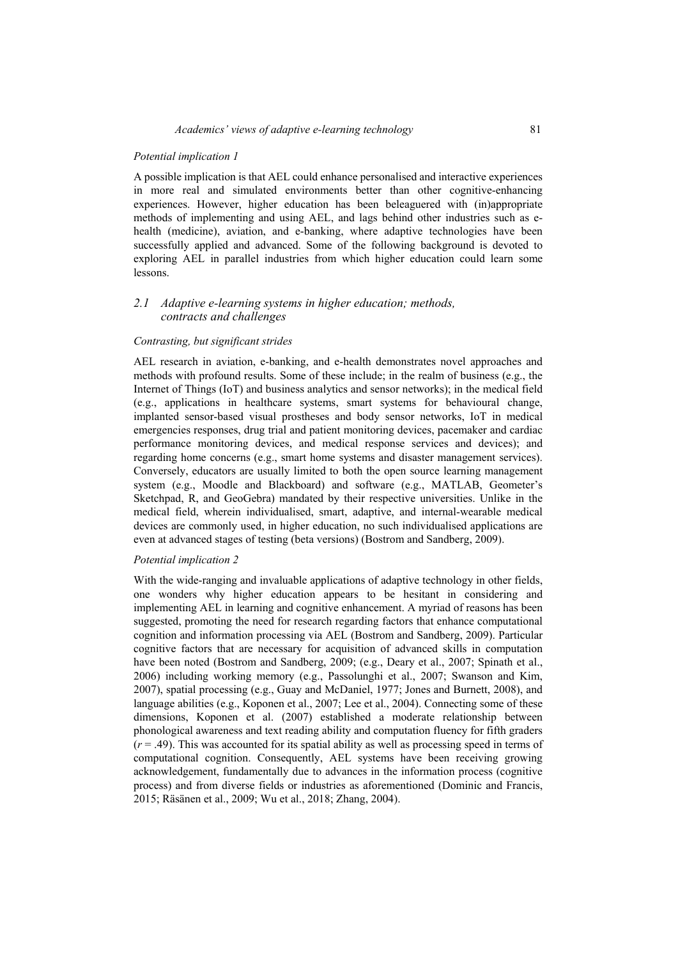#### *Potential implication 1*

A possible implication is that AEL could enhance personalised and interactive experiences in more real and simulated environments better than other cognitive-enhancing experiences. However, higher education has been beleaguered with (in)appropriate methods of implementing and using AEL, and lags behind other industries such as ehealth (medicine), aviation, and e-banking, where adaptive technologies have been successfully applied and advanced. Some of the following background is devoted to exploring AEL in parallel industries from which higher education could learn some lessons.

## *2.1 Adaptive e-learning systems in higher education; methods, contracts and challenges*

## *Contrasting, but significant strides*

AEL research in aviation, e-banking, and e-health demonstrates novel approaches and methods with profound results. Some of these include; in the realm of business (e.g., the Internet of Things (IoT) and business analytics and sensor networks); in the medical field (e.g., applications in healthcare systems, smart systems for behavioural change, implanted sensor-based visual prostheses and body sensor networks, IoT in medical emergencies responses, drug trial and patient monitoring devices, pacemaker and cardiac performance monitoring devices, and medical response services and devices); and regarding home concerns (e.g., smart home systems and disaster management services). Conversely, educators are usually limited to both the open source learning management system (e.g., Moodle and Blackboard) and software (e.g., MATLAB, Geometer's Sketchpad, R, and GeoGebra) mandated by their respective universities. Unlike in the medical field, wherein individualised, smart, adaptive, and internal-wearable medical devices are commonly used, in higher education, no such individualised applications are even at advanced stages of testing (beta versions) (Bostrom and Sandberg, 2009).

## *Potential implication 2*

With the wide-ranging and invaluable applications of adaptive technology in other fields, one wonders why higher education appears to be hesitant in considering and implementing AEL in learning and cognitive enhancement. A myriad of reasons has been suggested, promoting the need for research regarding factors that enhance computational cognition and information processing via AEL (Bostrom and Sandberg, 2009). Particular cognitive factors that are necessary for acquisition of advanced skills in computation have been noted (Bostrom and Sandberg, 2009; (e.g., Deary et al., 2007; Spinath et al., 2006) including working memory (e.g., Passolunghi et al., 2007; Swanson and Kim, 2007), spatial processing (e.g., Guay and McDaniel, 1977; Jones and Burnett, 2008), and language abilities (e.g., Koponen et al., 2007; Lee et al., 2004). Connecting some of these dimensions, Koponen et al. (2007) established a moderate relationship between phonological awareness and text reading ability and computation fluency for fifth graders  $(r = .49)$ . This was accounted for its spatial ability as well as processing speed in terms of computational cognition. Consequently, AEL systems have been receiving growing acknowledgement, fundamentally due to advances in the information process (cognitive process) and from diverse fields or industries as aforementioned (Dominic and Francis, 2015; Räsänen et al., 2009; Wu et al., 2018; Zhang, 2004).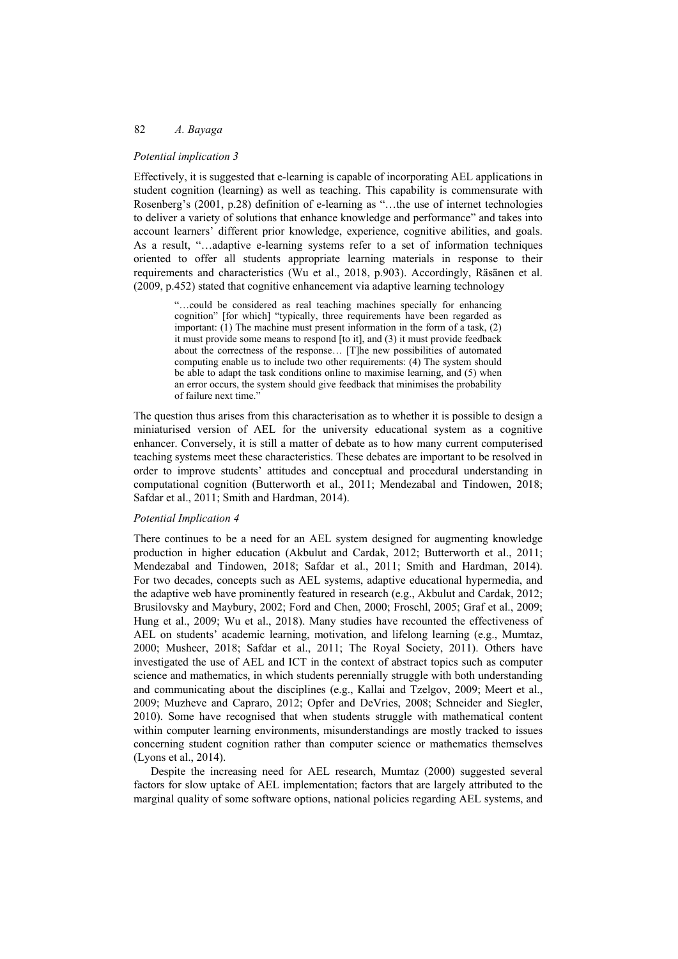#### *Potential implication 3*

Effectively, it is suggested that e-learning is capable of incorporating AEL applications in student cognition (learning) as well as teaching. This capability is commensurate with Rosenberg's (2001, p.28) definition of e-learning as "…the use of internet technologies to deliver a variety of solutions that enhance knowledge and performance" and takes into account learners' different prior knowledge, experience, cognitive abilities, and goals. As a result, "…adaptive e-learning systems refer to a set of information techniques oriented to offer all students appropriate learning materials in response to their requirements and characteristics (Wu et al., 2018, p.903). Accordingly, Räsänen et al. (2009, p.452) stated that cognitive enhancement via adaptive learning technology

> "…could be considered as real teaching machines specially for enhancing cognition" [for which] "typically, three requirements have been regarded as important: (1) The machine must present information in the form of a task, (2) it must provide some means to respond [to it], and (3) it must provide feedback about the correctness of the response… [T]he new possibilities of automated computing enable us to include two other requirements: (4) The system should be able to adapt the task conditions online to maximise learning, and (5) when an error occurs, the system should give feedback that minimises the probability of failure next time.'

The question thus arises from this characterisation as to whether it is possible to design a miniaturised version of AEL for the university educational system as a cognitive enhancer. Conversely, it is still a matter of debate as to how many current computerised teaching systems meet these characteristics. These debates are important to be resolved in order to improve students' attitudes and conceptual and procedural understanding in computational cognition (Butterworth et al., 2011; Mendezabal and Tindowen, 2018; Safdar et al., 2011; Smith and Hardman, 2014).

## *Potential Implication 4*

There continues to be a need for an AEL system designed for augmenting knowledge production in higher education (Akbulut and Cardak, 2012; Butterworth et al., 2011; Mendezabal and Tindowen, 2018; Safdar et al., 2011; Smith and Hardman, 2014). For two decades, concepts such as AEL systems, adaptive educational hypermedia, and the adaptive web have prominently featured in research (e.g., Akbulut and Cardak, 2012; Brusilovsky and Maybury, 2002; Ford and Chen, 2000; Froschl, 2005; Graf et al., 2009; Hung et al., 2009; Wu et al., 2018). Many studies have recounted the effectiveness of AEL on students' academic learning, motivation, and lifelong learning (e.g., Mumtaz, 2000; Musheer, 2018; Safdar et al., 2011; The Royal Society, 2011). Others have investigated the use of AEL and ICT in the context of abstract topics such as computer science and mathematics, in which students perennially struggle with both understanding and communicating about the disciplines (e.g., Kallai and Tzelgov, 2009; Meert et al., 2009; Muzheve and Capraro, 2012; Opfer and DeVries, 2008; Schneider and Siegler, 2010). Some have recognised that when students struggle with mathematical content within computer learning environments, misunderstandings are mostly tracked to issues concerning student cognition rather than computer science or mathematics themselves (Lyons et al., 2014).

Despite the increasing need for AEL research, Mumtaz (2000) suggested several factors for slow uptake of AEL implementation; factors that are largely attributed to the marginal quality of some software options, national policies regarding AEL systems, and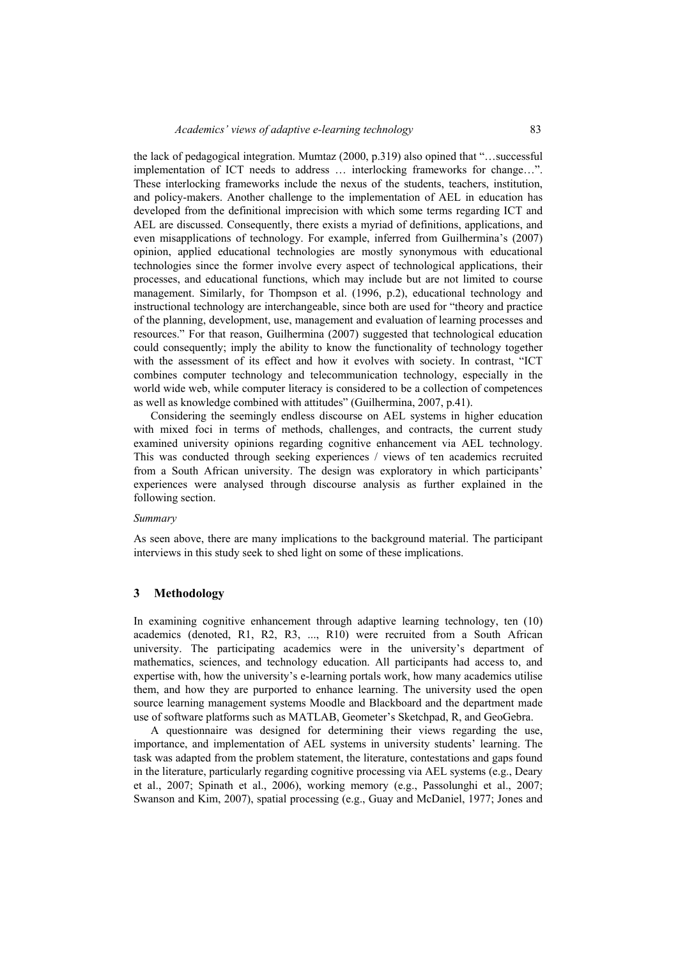the lack of pedagogical integration. Mumtaz (2000, p.319) also opined that "…successful implementation of ICT needs to address … interlocking frameworks for change…". These interlocking frameworks include the nexus of the students, teachers, institution, and policy-makers. Another challenge to the implementation of AEL in education has developed from the definitional imprecision with which some terms regarding ICT and AEL are discussed. Consequently, there exists a myriad of definitions, applications, and even misapplications of technology. For example, inferred from Guilhermina's (2007) opinion, applied educational technologies are mostly synonymous with educational technologies since the former involve every aspect of technological applications, their processes, and educational functions, which may include but are not limited to course management. Similarly, for Thompson et al. (1996, p.2), educational technology and instructional technology are interchangeable, since both are used for "theory and practice of the planning, development, use, management and evaluation of learning processes and resources." For that reason, Guilhermina (2007) suggested that technological education could consequently; imply the ability to know the functionality of technology together with the assessment of its effect and how it evolves with society. In contrast, "ICT combines computer technology and telecommunication technology, especially in the world wide web, while computer literacy is considered to be a collection of competences as well as knowledge combined with attitudes" (Guilhermina, 2007, p.41).

Considering the seemingly endless discourse on AEL systems in higher education with mixed foci in terms of methods, challenges, and contracts, the current study examined university opinions regarding cognitive enhancement via AEL technology. This was conducted through seeking experiences / views of ten academics recruited from a South African university. The design was exploratory in which participants' experiences were analysed through discourse analysis as further explained in the following section.

#### *Summary*

As seen above, there are many implications to the background material. The participant interviews in this study seek to shed light on some of these implications.

## **3 Methodology**

In examining cognitive enhancement through adaptive learning technology, ten (10) academics (denoted, R1, R2, R3, ..., R10) were recruited from a South African university. The participating academics were in the university's department of mathematics, sciences, and technology education. All participants had access to, and expertise with, how the university's e-learning portals work, how many academics utilise them, and how they are purported to enhance learning. The university used the open source learning management systems Moodle and Blackboard and the department made use of software platforms such as MATLAB, Geometer's Sketchpad, R, and GeoGebra.

A questionnaire was designed for determining their views regarding the use, importance, and implementation of AEL systems in university students' learning. The task was adapted from the problem statement, the literature, contestations and gaps found in the literature, particularly regarding cognitive processing via AEL systems (e.g., Deary et al., 2007; Spinath et al., 2006), working memory (e.g., Passolunghi et al., 2007; Swanson and Kim, 2007), spatial processing (e.g., Guay and McDaniel, 1977; Jones and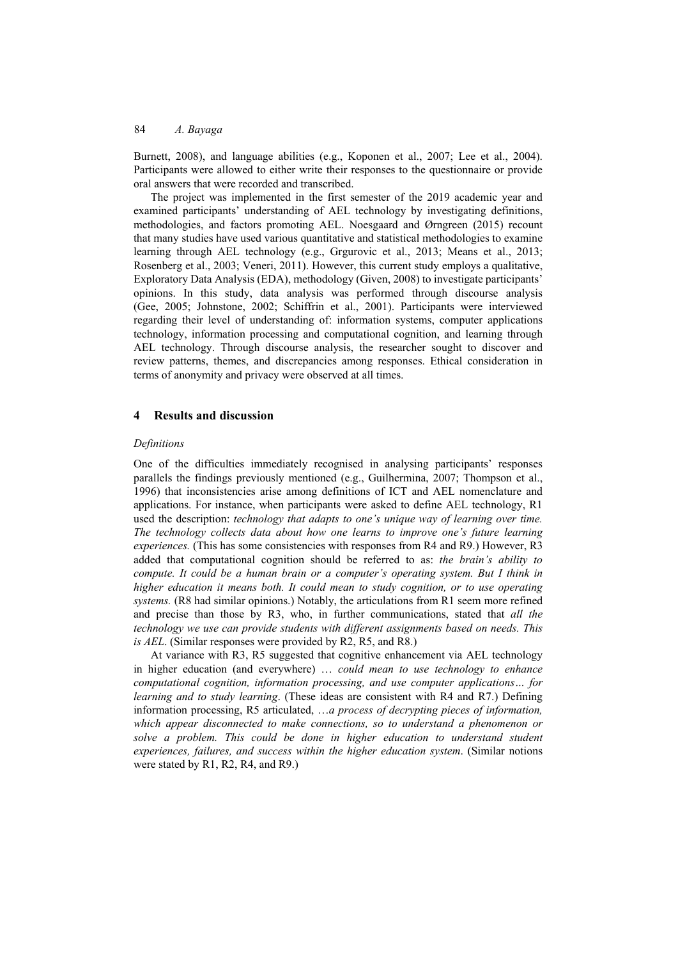Burnett, 2008), and language abilities (e.g., Koponen et al., 2007; Lee et al., 2004). Participants were allowed to either write their responses to the questionnaire or provide oral answers that were recorded and transcribed.

The project was implemented in the first semester of the 2019 academic year and examined participants' understanding of AEL technology by investigating definitions, methodologies, and factors promoting AEL. Noesgaard and Ørngreen (2015) recount that many studies have used various quantitative and statistical methodologies to examine learning through AEL technology (e.g., Grgurovic et al., 2013; Means et al., 2013; Rosenberg et al., 2003; Veneri, 2011). However, this current study employs a qualitative, Exploratory Data Analysis (EDA), methodology (Given, 2008) to investigate participants' opinions. In this study, data analysis was performed through discourse analysis (Gee, 2005; Johnstone, 2002; Schiffrin et al., 2001). Participants were interviewed regarding their level of understanding of: information systems, computer applications technology, information processing and computational cognition, and learning through AEL technology. Through discourse analysis, the researcher sought to discover and review patterns, themes, and discrepancies among responses. Ethical consideration in terms of anonymity and privacy were observed at all times.

## **4 Results and discussion**

#### *Definitions*

One of the difficulties immediately recognised in analysing participants' responses parallels the findings previously mentioned (e.g., Guilhermina, 2007; Thompson et al., 1996) that inconsistencies arise among definitions of ICT and AEL nomenclature and applications. For instance, when participants were asked to define AEL technology, R1 used the description: *technology that adapts to one's unique way of learning over time. The technology collects data about how one learns to improve one's future learning experiences.* (This has some consistencies with responses from R4 and R9.) However, R3 added that computational cognition should be referred to as: *the brain's ability to compute. It could be a human brain or a computer's operating system. But I think in higher education it means both. It could mean to study cognition, or to use operating systems.* (R8 had similar opinions.) Notably, the articulations from R1 seem more refined and precise than those by R3, who, in further communications, stated that *all the technology we use can provide students with different assignments based on needs. This is AEL*. (Similar responses were provided by R2, R5, and R8.)

At variance with R3, R5 suggested that cognitive enhancement via AEL technology in higher education (and everywhere) … *could mean to use technology to enhance computational cognition, information processing, and use computer applications… for learning and to study learning*. (These ideas are consistent with R4 and R7.) Defining information processing, R5 articulated, …*a process of decrypting pieces of information, which appear disconnected to make connections, so to understand a phenomenon or*  solve a problem. This could be done in higher education to understand student *experiences, failures, and success within the higher education system*. (Similar notions were stated by R1, R2, R4, and R9.)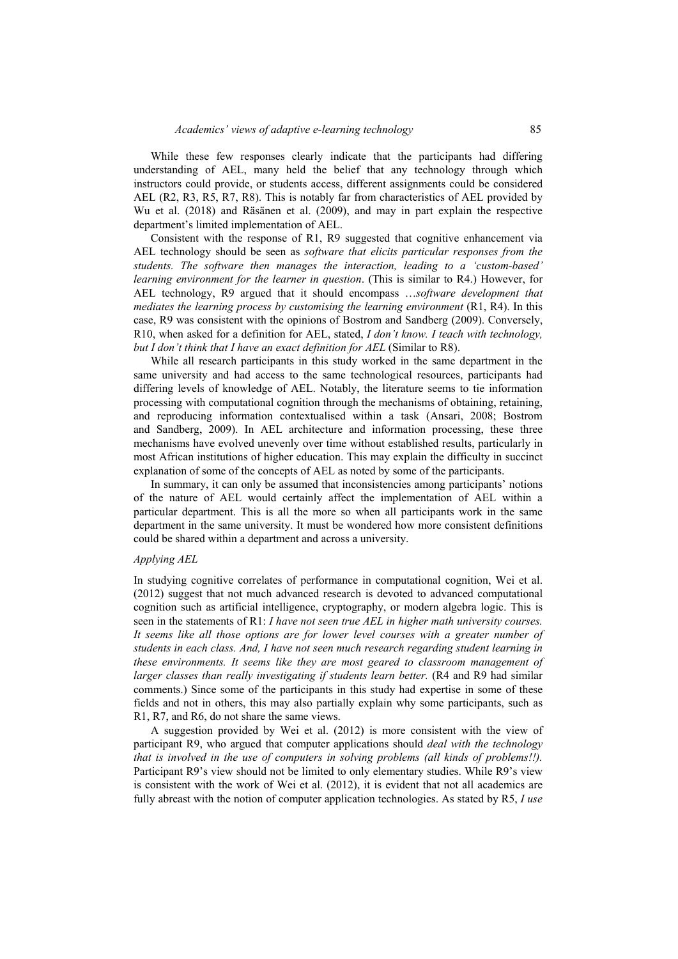While these few responses clearly indicate that the participants had differing understanding of AEL, many held the belief that any technology through which instructors could provide, or students access, different assignments could be considered AEL (R2, R3, R5, R7, R8). This is notably far from characteristics of AEL provided by Wu et al. (2018) and Räsänen et al. (2009), and may in part explain the respective department's limited implementation of AEL.

Consistent with the response of R1, R9 suggested that cognitive enhancement via AEL technology should be seen as *software that elicits particular responses from the students. The software then manages the interaction, leading to a 'custom-based' learning environment for the learner in question*. (This is similar to R4.) However, for AEL technology, R9 argued that it should encompass …*software development that mediates the learning process by customising the learning environment* (R1, R4). In this case, R9 was consistent with the opinions of Bostrom and Sandberg (2009). Conversely, R10, when asked for a definition for AEL, stated, *I don't know. I teach with technology, but I don't think that I have an exact definition for AEL* (Similar to R8).

While all research participants in this study worked in the same department in the same university and had access to the same technological resources, participants had differing levels of knowledge of AEL. Notably, the literature seems to tie information processing with computational cognition through the mechanisms of obtaining, retaining, and reproducing information contextualised within a task (Ansari, 2008; Bostrom and Sandberg, 2009). In AEL architecture and information processing, these three mechanisms have evolved unevenly over time without established results, particularly in most African institutions of higher education. This may explain the difficulty in succinct explanation of some of the concepts of AEL as noted by some of the participants.

In summary, it can only be assumed that inconsistencies among participants' notions of the nature of AEL would certainly affect the implementation of AEL within a particular department. This is all the more so when all participants work in the same department in the same university. It must be wondered how more consistent definitions could be shared within a department and across a university.

#### *Applying AEL*

In studying cognitive correlates of performance in computational cognition, Wei et al. (2012) suggest that not much advanced research is devoted to advanced computational cognition such as artificial intelligence, cryptography, or modern algebra logic. This is seen in the statements of R1: *I have not seen true AEL in higher math university courses.*  It seems like all those options are for lower level courses with a greater number of *students in each class. And, I have not seen much research regarding student learning in these environments. It seems like they are most geared to classroom management of larger classes than really investigating if students learn better.* (R4 and R9 had similar comments.) Since some of the participants in this study had expertise in some of these fields and not in others, this may also partially explain why some participants, such as R1, R7, and R6, do not share the same views.

A suggestion provided by Wei et al. (2012) is more consistent with the view of participant R9, who argued that computer applications should *deal with the technology that is involved in the use of computers in solving problems (all kinds of problems!!).* Participant R9's view should not be limited to only elementary studies. While R9's view is consistent with the work of Wei et al. (2012), it is evident that not all academics are fully abreast with the notion of computer application technologies. As stated by R5, *I use*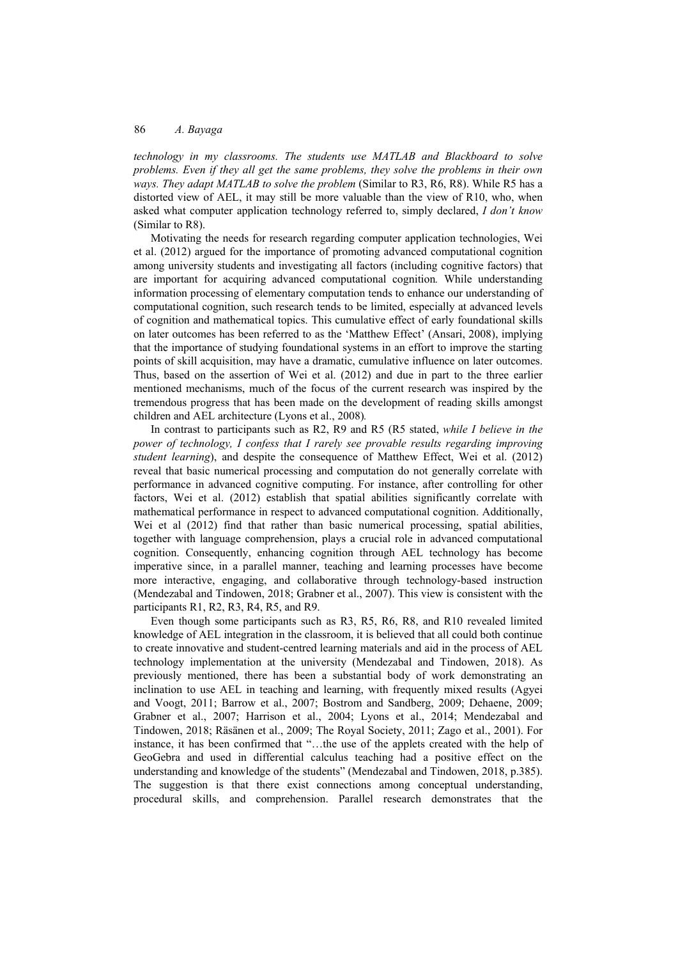*technology in my classrooms. The students use MATLAB and Blackboard to solve problems. Even if they all get the same problems, they solve the problems in their own ways. They adapt MATLAB to solve the problem* (Similar to R3, R6, R8). While R5 has a distorted view of AEL, it may still be more valuable than the view of R10, who, when asked what computer application technology referred to, simply declared, *I don't know* (Similar to R8).

Motivating the needs for research regarding computer application technologies, Wei et al. (2012) argued for the importance of promoting advanced computational cognition among university students and investigating all factors (including cognitive factors) that are important for acquiring advanced computational cognition*.* While understanding information processing of elementary computation tends to enhance our understanding of computational cognition, such research tends to be limited, especially at advanced levels of cognition and mathematical topics. This cumulative effect of early foundational skills on later outcomes has been referred to as the 'Matthew Effect' (Ansari, 2008), implying that the importance of studying foundational systems in an effort to improve the starting points of skill acquisition, may have a dramatic, cumulative influence on later outcomes. Thus, based on the assertion of Wei et al. (2012) and due in part to the three earlier mentioned mechanisms, much of the focus of the current research was inspired by the tremendous progress that has been made on the development of reading skills amongst children and AEL architecture (Lyons et al., 2008)*.*

In contrast to participants such as R2, R9 and R5 (R5 stated, *while I believe in the power of technology, I confess that I rarely see provable results regarding improving student learning*), and despite the consequence of Matthew Effect, Wei et al. (2012) reveal that basic numerical processing and computation do not generally correlate with performance in advanced cognitive computing. For instance, after controlling for other factors, Wei et al. (2012) establish that spatial abilities significantly correlate with mathematical performance in respect to advanced computational cognition. Additionally, Wei et al (2012) find that rather than basic numerical processing, spatial abilities, together with language comprehension, plays a crucial role in advanced computational cognition. Consequently, enhancing cognition through AEL technology has become imperative since, in a parallel manner, teaching and learning processes have become more interactive, engaging, and collaborative through technology-based instruction (Mendezabal and Tindowen, 2018; Grabner et al., 2007). This view is consistent with the participants R1, R2, R3, R4, R5, and R9.

Even though some participants such as R3, R5, R6, R8, and R10 revealed limited knowledge of AEL integration in the classroom, it is believed that all could both continue to create innovative and student-centred learning materials and aid in the process of AEL technology implementation at the university (Mendezabal and Tindowen, 2018). As previously mentioned, there has been a substantial body of work demonstrating an inclination to use AEL in teaching and learning, with frequently mixed results (Agyei and Voogt, 2011; Barrow et al., 2007; Bostrom and Sandberg, 2009; Dehaene, 2009; Grabner et al., 2007; Harrison et al., 2004; Lyons et al., 2014; Mendezabal and Tindowen, 2018; Räsänen et al., 2009; The Royal Society, 2011; Zago et al., 2001). For instance, it has been confirmed that "…the use of the applets created with the help of GeoGebra and used in differential calculus teaching had a positive effect on the understanding and knowledge of the students" (Mendezabal and Tindowen, 2018, p.385). The suggestion is that there exist connections among conceptual understanding, procedural skills, and comprehension. Parallel research demonstrates that the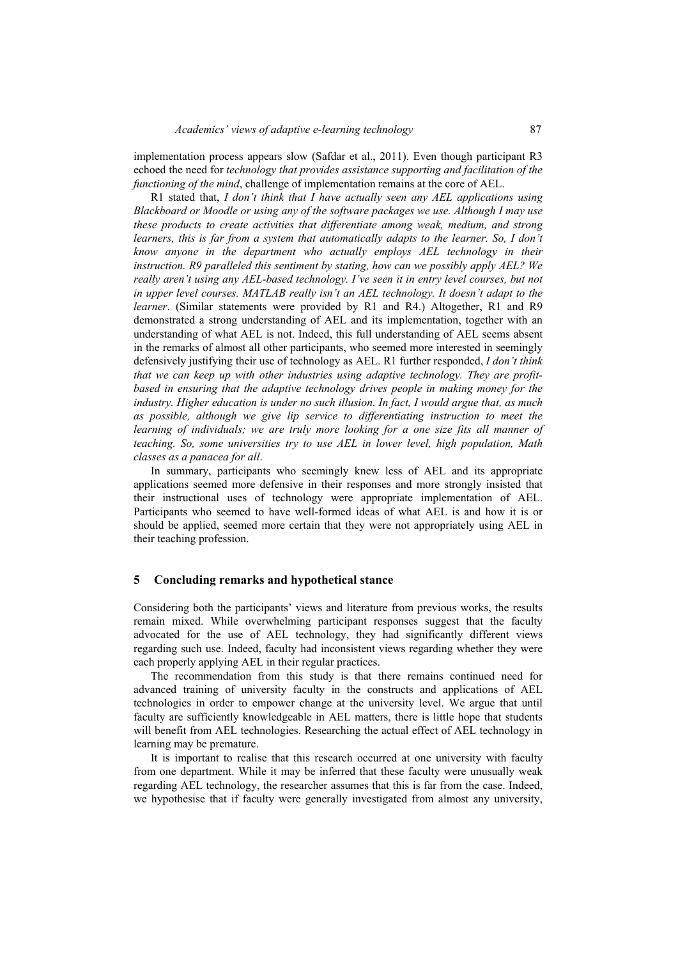implementation process appears slow (Safdar et al., 2011). Even though participant R3 echoed the need for *technology that provides assistance supporting and facilitation of the functioning of the mind*, challenge of implementation remains at the core of AEL.

R1 stated that, *I don't think that I have actually seen any AEL applications using Blackboard or Moodle or using any of the software packages we use. Although I may use these products to create activities that differentiate among weak, medium, and strong learners, this is far from a system that automatically adapts to the learner. So, I don't know anyone in the department who actually employs AEL technology in their instruction. R9 paralleled this sentiment by stating, how can we possibly apply AEL? We really aren't using any AEL-based technology. I've seen it in entry level courses, but not in upper level courses. MATLAB really isn't an AEL technology. It doesn't adapt to the learner*. (Similar statements were provided by R1 and R4.) Altogether, R1 and R9 demonstrated a strong understanding of AEL and its implementation, together with an understanding of what AEL is not. Indeed, this full understanding of AEL seems absent in the remarks of almost all other participants, who seemed more interested in seemingly defensively justifying their use of technology as AEL. R1 further responded, *I don't think that we can keep up with other industries using adaptive technology. They are profitbased in ensuring that the adaptive technology drives people in making money for the industry. Higher education is under no such illusion. In fact, I would argue that, as much as possible, although we give lip service to differentiating instruction to meet the*  learning of individuals; we are truly more looking for a one size fits all manner of *teaching. So, some universities try to use AEL in lower level, high population, Math classes as a panacea for all*.

In summary, participants who seemingly knew less of AEL and its appropriate applications seemed more defensive in their responses and more strongly insisted that their instructional uses of technology were appropriate implementation of AEL. Participants who seemed to have well-formed ideas of what AEL is and how it is or should be applied, seemed more certain that they were not appropriately using AEL in their teaching profession.

### **5 Concluding remarks and hypothetical stance**

Considering both the participants' views and literature from previous works, the results remain mixed. While overwhelming participant responses suggest that the faculty advocated for the use of AEL technology, they had significantly different views regarding such use. Indeed, faculty had inconsistent views regarding whether they were each properly applying AEL in their regular practices.

The recommendation from this study is that there remains continued need for advanced training of university faculty in the constructs and applications of AEL technologies in order to empower change at the university level. We argue that until faculty are sufficiently knowledgeable in AEL matters, there is little hope that students will benefit from AEL technologies. Researching the actual effect of AEL technology in learning may be premature.

It is important to realise that this research occurred at one university with faculty from one department. While it may be inferred that these faculty were unusually weak regarding AEL technology, the researcher assumes that this is far from the case. Indeed, we hypothesise that if faculty were generally investigated from almost any university,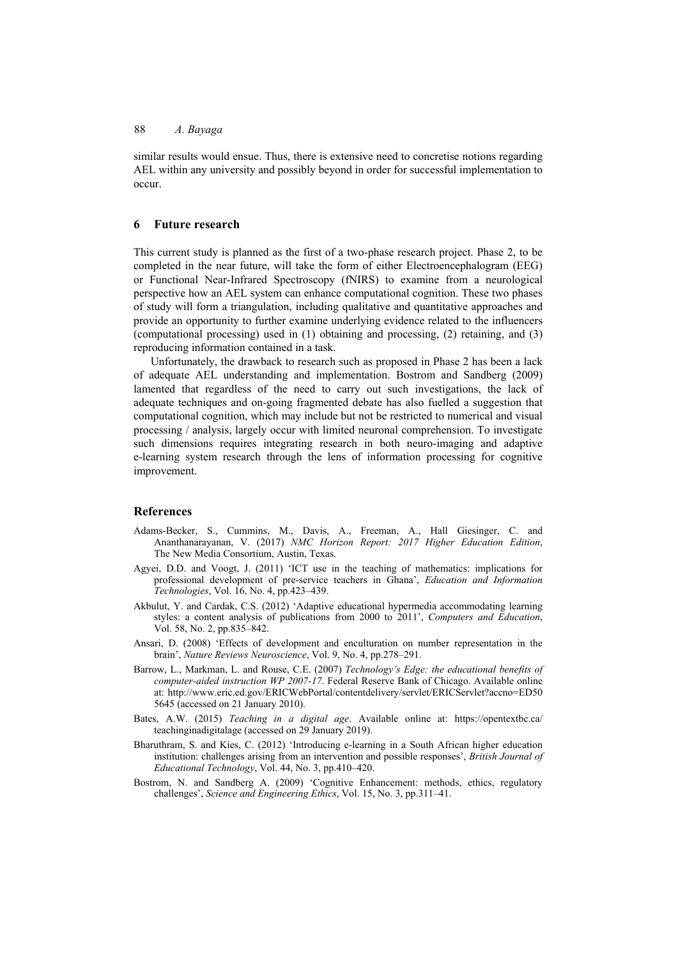similar results would ensue. Thus, there is extensive need to concretise notions regarding AEL within any university and possibly beyond in order for successful implementation to occur.

#### **6 Future research**

This current study is planned as the first of a two-phase research project. Phase 2, to be completed in the near future, will take the form of either Electroencephalogram (EEG) or Functional Near-Infrared Spectroscopy (fNIRS) to examine from a neurological perspective how an AEL system can enhance computational cognition. These two phases of study will form a triangulation, including qualitative and quantitative approaches and provide an opportunity to further examine underlying evidence related to the influencers (computational processing) used in (1) obtaining and processing, (2) retaining, and (3) reproducing information contained in a task.

Unfortunately, the drawback to research such as proposed in Phase 2 has been a lack of adequate AEL understanding and implementation. Bostrom and Sandberg (2009) lamented that regardless of the need to carry out such investigations, the lack of adequate techniques and on-going fragmented debate has also fuelled a suggestion that computational cognition, which may include but not be restricted to numerical and visual processing / analysis, largely occur with limited neuronal comprehension. To investigate such dimensions requires integrating research in both neuro-imaging and adaptive e-learning system research through the lens of information processing for cognitive improvement.

#### **References**

- Adams-Becker, S., Cummins, M., Davis, A., Freeman, A., Hall Giesinger, C. and Ananthanarayanan, V. (2017) *NMC Horizon Report: 2017 Higher Education Edition*, The New Media Consortium, Austin, Texas.
- Agyei, D.D. and Voogt, J. (2011) 'ICT use in the teaching of mathematics: implications for professional development of pre-service teachers in Ghana', *Education and Information Technologies*, Vol. 16, No. 4, pp.423–439.
- Akbulut, Y. and Cardak, C.S. (2012) 'Adaptive educational hypermedia accommodating learning styles: a content analysis of publications from 2000 to 2011', *Computers and Education*, Vol. 58, No. 2, pp.835–842.
- Ansari, D. (2008) 'Effects of development and enculturation on number representation in the brain', *Nature Reviews Neuroscience*, Vol. 9, No. 4, pp.278–291.
- Barrow, L., Markman, L. and Rouse, C.E. (2007) *Technology's Edge: the educational benefits of computer-aided instruction WP 2007-17*. Federal Reserve Bank of Chicago. Available online at: http://www.eric.ed.gov/ERICWebPortal/contentdelivery/servlet/ERICServlet?accno=ED50 5645 (accessed on 21 January 2010).
- Bates, A.W. (2015) *Teaching in a digital age*. Available online at: https://opentextbc.ca/ teachinginadigitalage (accessed on 29 January 2019).
- Bharuthram, S. and Kies, C. (2012) 'Introducing e-learning in a South African higher education institution: challenges arising from an intervention and possible responses', *British Journal of Educational Technology*, Vol. 44, No. 3, pp.410–420.
- Bostrom, N. and Sandberg A. (2009) 'Cognitive Enhancement: methods, ethics, regulatory challenges', *Science and Engineering Ethics*, Vol. 15, No. 3, pp.311–41.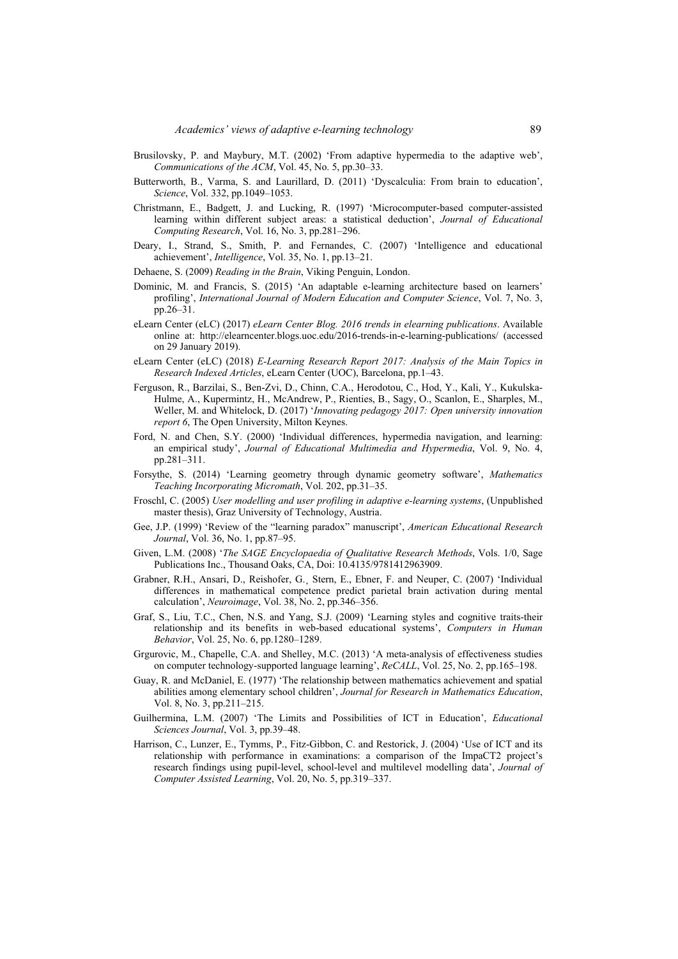- Brusilovsky, P. and Maybury, M.T. (2002) 'From adaptive hypermedia to the adaptive web', *Communications of the ACM*, Vol. 45, No. 5, pp.30–33.
- Butterworth, B., Varma, S. and Laurillard, D. (2011) 'Dyscalculia: From brain to education', *Science*, Vol. 332, pp.1049–1053.
- Christmann, E., Badgett, J. and Lucking, R. (1997) 'Microcomputer-based computer-assisted learning within different subject areas: a statistical deduction', *Journal of Educational Computing Research*, Vol. 16, No. 3, pp.281–296.
- Deary, I., Strand, S., Smith, P. and Fernandes, C. (2007) 'Intelligence and educational achievement', *Intelligence*, Vol. 35, No. 1, pp.13–21.
- Dehaene, S. (2009) *Reading in the Brain*, Viking Penguin, London.
- Dominic, M. and Francis, S. (2015) 'An adaptable e-learning architecture based on learners' profiling', *International Journal of Modern Education and Computer Science*, Vol. 7, No. 3, pp.26–31.
- eLearn Center (eLC) (2017) *eLearn Center Blog. 2016 trends in elearning publications*. Available online at: http://elearncenter.blogs.uoc.edu/2016-trends-in-e-learning-publications/ (accessed on 29 January 2019).
- eLearn Center (eLC) (2018) *E-Learning Research Report 2017: Analysis of the Main Topics in Research Indexed Articles*, eLearn Center (UOC), Barcelona, pp.1–43.
- Ferguson, R., Barzilai, S., Ben-Zvi, D., Chinn, C.A., Herodotou, C., Hod, Y., Kali, Y., Kukulska-Hulme, A., Kupermintz, H., McAndrew, P., Rienties, B., Sagy, O., Scanlon, E., Sharples, M., Weller, M. and Whitelock, D. (2017) '*Innovating pedagogy 2017: Open university innovation report 6*, The Open University, Milton Keynes.
- Ford, N. and Chen, S.Y. (2000) 'Individual differences, hypermedia navigation, and learning: an empirical study', *Journal of Educational Multimedia and Hypermedia*, Vol. 9, No. 4, pp.281–311.
- Forsythe, S. (2014) 'Learning geometry through dynamic geometry software', *Mathematics Teaching Incorporating Micromath*, Vol. 202, pp.31–35.
- Froschl, C. (2005) *User modelling and user profiling in adaptive e-learning systems*, (Unpublished master thesis), Graz University of Technology, Austria.
- Gee, J.P. (1999) 'Review of the "learning paradox" manuscript', *American Educational Research Journal*, Vol. 36, No. 1, pp.87–95.
- Given, L.M. (2008) '*The SAGE Encyclopaedia of Qualitative Research Methods*, Vols. 1/0, Sage Publications Inc., Thousand Oaks, CA, Doi: 10.4135/9781412963909.
- Grabner, R.H., Ansari, D., Reishofer, G.¸ Stern, E., Ebner, F. and Neuper, C. (2007) 'Individual differences in mathematical competence predict parietal brain activation during mental calculation', *Neuroimage*, Vol. 38, No. 2, pp.346–356.
- Graf, S., Liu, T.C., Chen, N.S. and Yang, S.J. (2009) 'Learning styles and cognitive traits-their relationship and its benefits in web-based educational systems', *Computers in Human Behavior*, Vol. 25, No. 6, pp.1280–1289.
- Grgurovic, M., Chapelle, C.A. and Shelley, M.C. (2013) 'A meta-analysis of effectiveness studies on computer technology-supported language learning', *ReCALL*, Vol. 25, No. 2, pp.165–198.
- Guay, R. and McDaniel, E. (1977) 'The relationship between mathematics achievement and spatial abilities among elementary school children', *Journal for Research in Mathematics Education*, Vol. 8, No. 3, pp.211–215.
- Guilhermina, L.M. (2007) 'The Limits and Possibilities of ICT in Education', *Educational Sciences Journal*, Vol. 3, pp.39–48.
- Harrison, C., Lunzer, E., Tymms, P., Fitz-Gibbon, C. and Restorick, J. (2004) 'Use of ICT and its relationship with performance in examinations: a comparison of the ImpaCT2 project's research findings using pupil-level, school-level and multilevel modelling data', *Journal of Computer Assisted Learning*, Vol. 20, No. 5, pp.319–337.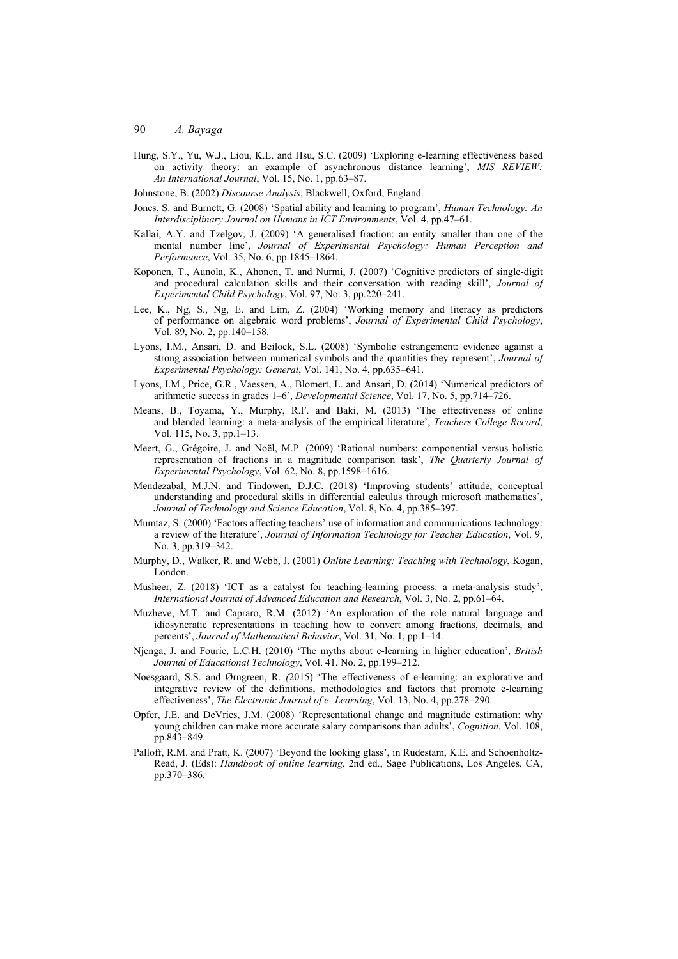- Hung, S.Y., Yu, W.J., Liou, K.L. and Hsu, S.C. (2009) 'Exploring e-learning effectiveness based on activity theory: an example of asynchronous distance learning', *MIS REVIEW: An International Journal*, Vol. 15, No. 1, pp.63–87.
- Johnstone, B. (2002) *Discourse Analysis*, Blackwell, Oxford, England.
- Jones, S. and Burnett, G. (2008) 'Spatial ability and learning to program', *Human Technology: An Interdisciplinary Journal on Humans in ICT Environments*, Vol. 4, pp.47–61.
- Kallai, A.Y. and Tzelgov, J. (2009) 'A generalised fraction: an entity smaller than one of the mental number line', *Journal of Experimental Psychology: Human Perception and Performance*, Vol. 35, No. 6, pp.1845–1864.
- Koponen, T., Aunola, K., Ahonen, T. and Nurmi, J. (2007) 'Cognitive predictors of single-digit and procedural calculation skills and their conversation with reading skill', *Journal of Experimental Child Psychology*, Vol. 97, No. 3, pp.220–241.
- Lee, K., Ng, S., Ng, E. and Lim, Z. (2004) 'Working memory and literacy as predictors of performance on algebraic word problems', *Journal of Experimental Child Psychology*, Vol. 89, No. 2, pp.140–158.
- Lyons, I.M., Ansari, D. and Beilock, S.L. (2008) 'Symbolic estrangement: evidence against a strong association between numerical symbols and the quantities they represent', *Journal of Experimental Psychology: General*, Vol. 141, No. 4, pp.635–641.
- Lyons, I.M., Price, G.R., Vaessen, A., Blomert, L. and Ansari, D. (2014) 'Numerical predictors of arithmetic success in grades 1–6', *Developmental Science*, Vol. 17, No. 5, pp.714–726.
- Means, B., Toyama, Y., Murphy, R.F. and Baki, M. (2013) 'The effectiveness of online and blended learning: a meta-analysis of the empirical literature', *Teachers College Record*, Vol. 115, No. 3, pp.1–13.
- Meert, G., Grégoire, J. and Noël, M.P. (2009) 'Rational numbers: componential versus holistic representation of fractions in a magnitude comparison task', *The Quarterly Journal of Experimental Psychology*, Vol. 62, No. 8, pp.1598–1616.
- Mendezabal, M.J.N. and Tindowen, D.J.C. (2018) 'Improving students' attitude, conceptual understanding and procedural skills in differential calculus through microsoft mathematics', *Journal of Technology and Science Education*, Vol. 8, No. 4, pp.385–397.
- Mumtaz, S. (2000) 'Factors affecting teachers' use of information and communications technology: a review of the literature', *Journal of Information Technology for Teacher Education*, Vol. 9, No. 3, pp.319–342.
- Murphy, D., Walker, R. and Webb, J. (2001) *Online Learning: Teaching with Technology*, Kogan, London.
- Musheer, Z. (2018) 'ICT as a catalyst for teaching-learning process: a meta-analysis study', *International Journal of Advanced Education and Research*, Vol. 3, No. 2, pp.61–64.
- Muzheve, M.T. and Capraro, R.M. (2012) 'An exploration of the role natural language and idiosyncratic representations in teaching how to convert among fractions, decimals, and percents', *Journal of Mathematical Behavior*, Vol. 31, No. 1, pp.1–14.
- Njenga, J. and Fourie, L.C.H. (2010) 'The myths about e-learning in higher education', *British Journal of Educational Technology*, Vol. 41, No. 2, pp.199–212.
- Noesgaard, S.S. and Ørngreen, R. *(*2015) 'The effectiveness of e-learning: an explorative and integrative review of the definitions, methodologies and factors that promote e-learning effectiveness', *The Electronic Journal of e- Learning*, Vol. 13, No. 4, pp.278–290.
- Opfer, J.E. and DeVries, J.M. (2008) 'Representational change and magnitude estimation: why young children can make more accurate salary comparisons than adults', *Cognition*, Vol. 108, pp.843–849.
- Palloff, R.M. and Pratt, K. (2007) 'Beyond the looking glass', in Rudestam, K.E. and Schoenholtz-Read, J. (Eds): *Handbook of online learning*, 2nd ed., Sage Publications, Los Angeles, CA, pp.370–386.